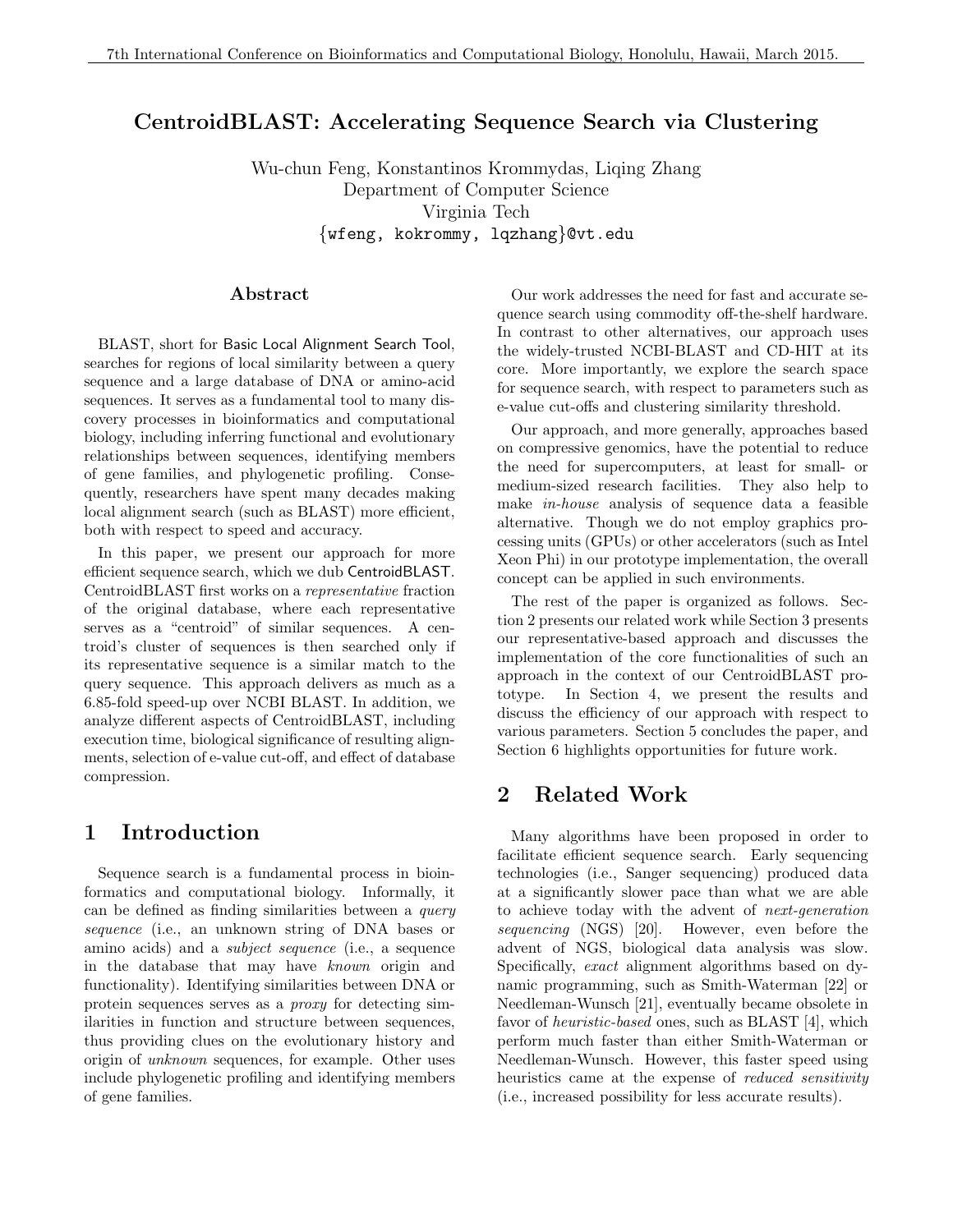# CentroidBLAST: Accelerating Sequence Search via Clustering

Wu-chun Feng, Konstantinos Krommydas, Liqing Zhang Department of Computer Science Virginia Tech {wfeng, kokrommy, lqzhang}@vt.edu

#### Abstract

BLAST, short for Basic Local Alignment Search Tool, searches for regions of local similarity between a query sequence and a large database of DNA or amino-acid sequences. It serves as a fundamental tool to many discovery processes in bioinformatics and computational biology, including inferring functional and evolutionary relationships between sequences, identifying members of gene families, and phylogenetic profiling. Consequently, researchers have spent many decades making local alignment search (such as BLAST) more efficient, both with respect to speed and accuracy.

In this paper, we present our approach for more efficient sequence search, which we dub CentroidBLAST. CentroidBLAST first works on a representative fraction of the original database, where each representative serves as a "centroid" of similar sequences. A centroid's cluster of sequences is then searched only if its representative sequence is a similar match to the query sequence. This approach delivers as much as a 6.85-fold speed-up over NCBI BLAST. In addition, we analyze different aspects of CentroidBLAST, including execution time, biological significance of resulting alignments, selection of e-value cut-off, and effect of database compression.

### 1 Introduction

Sequence search is a fundamental process in bioinformatics and computational biology. Informally, it can be defined as finding similarities between a query sequence (i.e., an unknown string of DNA bases or amino acids) and a subject sequence (i.e., a sequence in the database that may have known origin and functionality). Identifying similarities between DNA or protein sequences serves as a proxy for detecting similarities in function and structure between sequences, thus providing clues on the evolutionary history and origin of unknown sequences, for example. Other uses include phylogenetic profiling and identifying members of gene families.

Our work addresses the need for fast and accurate sequence search using commodity off-the-shelf hardware. In contrast to other alternatives, our approach uses the widely-trusted NCBI-BLAST and CD-HIT at its core. More importantly, we explore the search space for sequence search, with respect to parameters such as e-value cut-offs and clustering similarity threshold.

Our approach, and more generally, approaches based on compressive genomics, have the potential to reduce the need for supercomputers, at least for small- or medium-sized research facilities. They also help to make in-house analysis of sequence data a feasible alternative. Though we do not employ graphics processing units (GPUs) or other accelerators (such as Intel Xeon Phi) in our prototype implementation, the overall concept can be applied in such environments.

The rest of the paper is organized as follows. Section 2 presents our related work while Section 3 presents our representative-based approach and discusses the implementation of the core functionalities of such an approach in the context of our CentroidBLAST prototype. In Section 4, we present the results and discuss the efficiency of our approach with respect to various parameters. Section 5 concludes the paper, and Section 6 highlights opportunities for future work.

# 2 Related Work

Many algorithms have been proposed in order to facilitate efficient sequence search. Early sequencing technologies (i.e., Sanger sequencing) produced data at a significantly slower pace than what we are able to achieve today with the advent of next-generation sequencing (NGS) [20]. However, even before the advent of NGS, biological data analysis was slow. Specifically, exact alignment algorithms based on dynamic programming, such as Smith-Waterman [22] or Needleman-Wunsch [21], eventually became obsolete in favor of heuristic-based ones, such as BLAST [4], which perform much faster than either Smith-Waterman or Needleman-Wunsch. However, this faster speed using heuristics came at the expense of *reduced sensitivity* (i.e., increased possibility for less accurate results).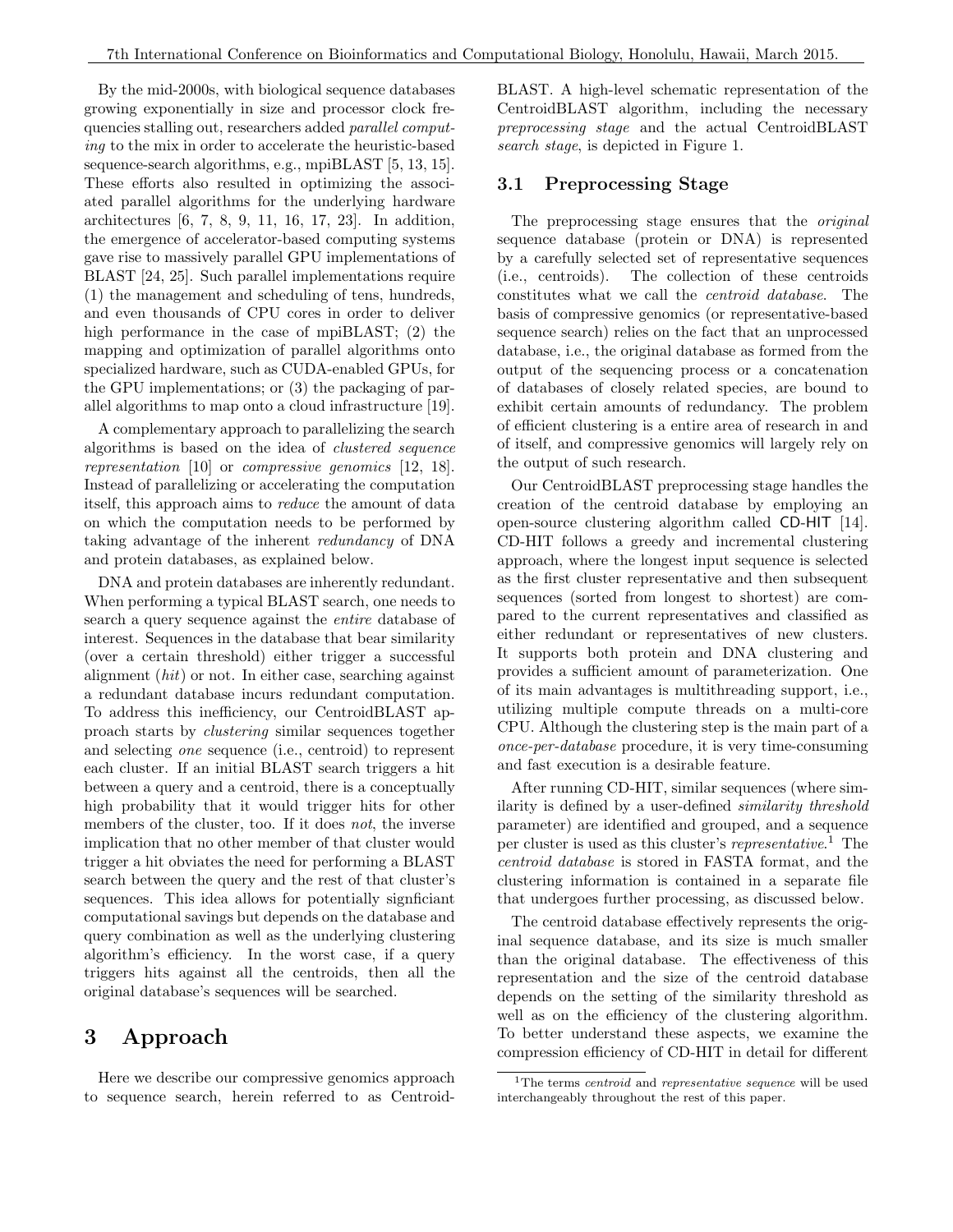By the mid-2000s, with biological sequence databases growing exponentially in size and processor clock frequencies stalling out, researchers added parallel computing to the mix in order to accelerate the heuristic-based sequence-search algorithms, e.g., mpiBLAST [5, 13, 15]. These efforts also resulted in optimizing the associated parallel algorithms for the underlying hardware architectures [6, 7, 8, 9, 11, 16, 17, 23]. In addition, the emergence of accelerator-based computing systems gave rise to massively parallel GPU implementations of BLAST [24, 25]. Such parallel implementations require (1) the management and scheduling of tens, hundreds, and even thousands of CPU cores in order to deliver high performance in the case of mpiBLAST; (2) the mapping and optimization of parallel algorithms onto specialized hardware, such as CUDA-enabled GPUs, for the GPU implementations; or (3) the packaging of parallel algorithms to map onto a cloud infrastructure [19].

A complementary approach to parallelizing the search algorithms is based on the idea of clustered sequence representation [10] or compressive genomics [12, 18]. Instead of parallelizing or accelerating the computation itself, this approach aims to reduce the amount of data on which the computation needs to be performed by taking advantage of the inherent redundancy of DNA and protein databases, as explained below.

DNA and protein databases are inherently redundant. When performing a typical BLAST search, one needs to search a query sequence against the entire database of interest. Sequences in the database that bear similarity (over a certain threshold) either trigger a successful alignment (hit) or not. In either case, searching against a redundant database incurs redundant computation. To address this inefficiency, our CentroidBLAST approach starts by clustering similar sequences together and selecting one sequence (i.e., centroid) to represent each cluster. If an initial BLAST search triggers a hit between a query and a centroid, there is a conceptually high probability that it would trigger hits for other members of the cluster, too. If it does *not*, the inverse implication that no other member of that cluster would trigger a hit obviates the need for performing a BLAST search between the query and the rest of that cluster's sequences. This idea allows for potentially signficiant computational savings but depends on the database and query combination as well as the underlying clustering algorithm's efficiency. In the worst case, if a query triggers hits against all the centroids, then all the original database's sequences will be searched.

### 3 Approach

Here we describe our compressive genomics approach to sequence search, herein referred to as CentroidBLAST. A high-level schematic representation of the CentroidBLAST algorithm, including the necessary preprocessing stage and the actual CentroidBLAST search stage, is depicted in Figure 1.

#### 3.1 Preprocessing Stage

The preprocessing stage ensures that the *original* sequence database (protein or DNA) is represented by a carefully selected set of representative sequences (i.e., centroids). The collection of these centroids constitutes what we call the centroid database. The basis of compressive genomics (or representative-based sequence search) relies on the fact that an unprocessed database, i.e., the original database as formed from the output of the sequencing process or a concatenation of databases of closely related species, are bound to exhibit certain amounts of redundancy. The problem of efficient clustering is a entire area of research in and of itself, and compressive genomics will largely rely on the output of such research.

Our CentroidBLAST preprocessing stage handles the creation of the centroid database by employing an open-source clustering algorithm called CD-HIT [14]. CD-HIT follows a greedy and incremental clustering approach, where the longest input sequence is selected as the first cluster representative and then subsequent sequences (sorted from longest to shortest) are compared to the current representatives and classified as either redundant or representatives of new clusters. It supports both protein and DNA clustering and provides a sufficient amount of parameterization. One of its main advantages is multithreading support, i.e., utilizing multiple compute threads on a multi-core CPU. Although the clustering step is the main part of a once-per-database procedure, it is very time-consuming and fast execution is a desirable feature.

After running CD-HIT, similar sequences (where similarity is defined by a user-defined similarity threshold parameter) are identified and grouped, and a sequence per cluster is used as this cluster's representative. <sup>1</sup> The centroid database is stored in FASTA format, and the clustering information is contained in a separate file that undergoes further processing, as discussed below.

The centroid database effectively represents the original sequence database, and its size is much smaller than the original database. The effectiveness of this representation and the size of the centroid database depends on the setting of the similarity threshold as well as on the efficiency of the clustering algorithm. To better understand these aspects, we examine the compression efficiency of CD-HIT in detail for different

<sup>&</sup>lt;sup>1</sup>The terms *centroid* and *representative sequence* will be used interchangeably throughout the rest of this paper.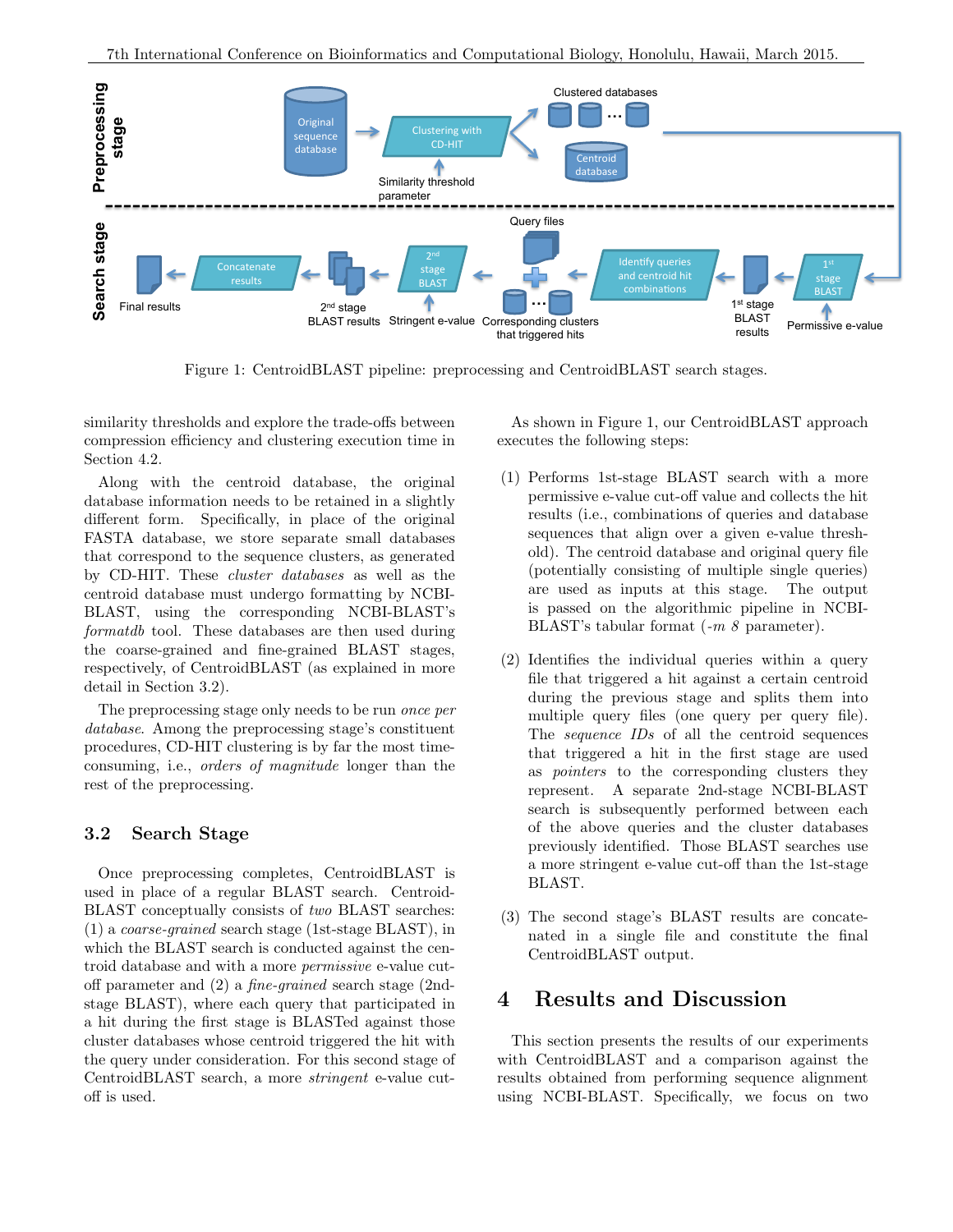

Figure 1: CentroidBLAST pipeline: preprocessing and CentroidBLAST search stages.

similarity thresholds and explore the trade-offs between compression efficiency and clustering execution time in Section 4.2.

Along with the centroid database, the original database information needs to be retained in a slightly different form. Specifically, in place of the original FASTA database, we store separate small databases that correspond to the sequence clusters, as generated by CD-HIT. These cluster databases as well as the centroid database must undergo formatting by NCBI-BLAST, using the corresponding NCBI-BLAST's formatdb tool. These databases are then used during the coarse-grained and fine-grained BLAST stages, respectively, of CentroidBLAST (as explained in more detail in Section 3.2).

The preprocessing stage only needs to be run once per database. Among the preprocessing stage's constituent procedures, CD-HIT clustering is by far the most timeconsuming, i.e., orders of magnitude longer than the rest of the preprocessing.

#### 3.2 Search Stage

Once preprocessing completes, CentroidBLAST is used in place of a regular BLAST search. Centroid-BLAST conceptually consists of two BLAST searches: (1) a coarse-grained search stage (1st-stage BLAST), in which the BLAST search is conducted against the centroid database and with a more permissive e-value cutoff parameter and (2) a fine-grained search stage (2ndstage BLAST), where each query that participated in a hit during the first stage is BLASTed against those cluster databases whose centroid triggered the hit with the query under consideration. For this second stage of CentroidBLAST search, a more stringent e-value cutoff is used.

As shown in Figure 1, our CentroidBLAST approach executes the following steps:

- (1) Performs 1st-stage BLAST search with a more permissive e-value cut-off value and collects the hit results (i.e., combinations of queries and database sequences that align over a given e-value threshold). The centroid database and original query file (potentially consisting of multiple single queries) are used as inputs at this stage. The output is passed on the algorithmic pipeline in NCBI-BLAST's tabular format (-m 8 parameter).
- (2) Identifies the individual queries within a query file that triggered a hit against a certain centroid during the previous stage and splits them into multiple query files (one query per query file). The sequence IDs of all the centroid sequences that triggered a hit in the first stage are used as pointers to the corresponding clusters they represent. A separate 2nd-stage NCBI-BLAST search is subsequently performed between each of the above queries and the cluster databases previously identified. Those BLAST searches use a more stringent e-value cut-off than the 1st-stage BLAST.
- (3) The second stage's BLAST results are concatenated in a single file and constitute the final CentroidBLAST output.

# 4 Results and Discussion

This section presents the results of our experiments with CentroidBLAST and a comparison against the results obtained from performing sequence alignment using NCBI-BLAST. Specifically, we focus on two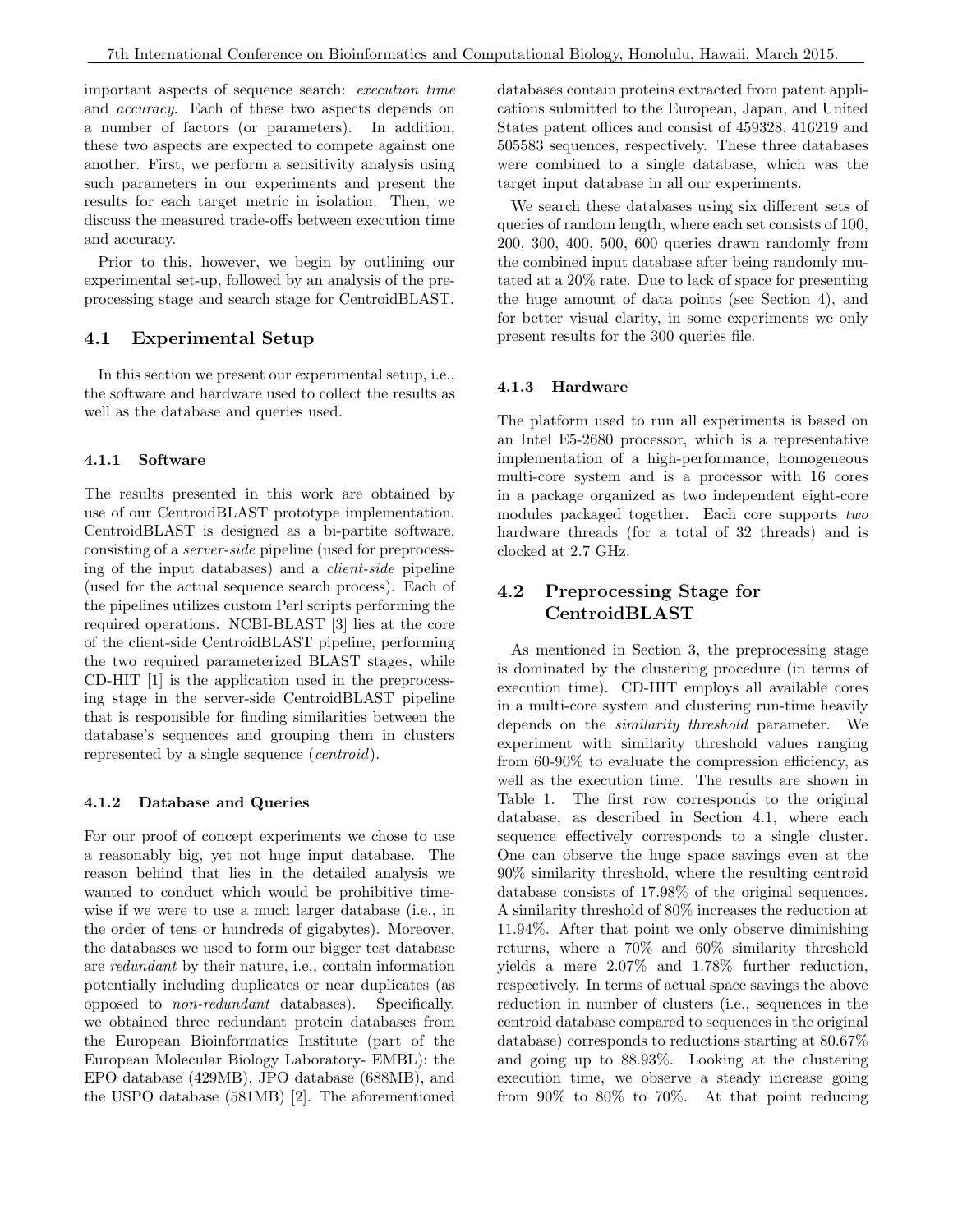important aspects of sequence search: execution time and accuracy. Each of these two aspects depends on a number of factors (or parameters). In addition, these two aspects are expected to compete against one another. First, we perform a sensitivity analysis using such parameters in our experiments and present the results for each target metric in isolation. Then, we discuss the measured trade-offs between execution time and accuracy.

Prior to this, however, we begin by outlining our experimental set-up, followed by an analysis of the preprocessing stage and search stage for CentroidBLAST.

### 4.1 Experimental Setup

In this section we present our experimental setup, i.e., the software and hardware used to collect the results as well as the database and queries used.

#### 4.1.1 Software

The results presented in this work are obtained by use of our CentroidBLAST prototype implementation. CentroidBLAST is designed as a bi-partite software, consisting of a server-side pipeline (used for preprocessing of the input databases) and a client-side pipeline (used for the actual sequence search process). Each of the pipelines utilizes custom Perl scripts performing the required operations. NCBI-BLAST [3] lies at the core of the client-side CentroidBLAST pipeline, performing the two required parameterized BLAST stages, while CD-HIT [1] is the application used in the preprocessing stage in the server-side CentroidBLAST pipeline that is responsible for finding similarities between the database's sequences and grouping them in clusters represented by a single sequence (*centroid*).

#### 4.1.2 Database and Queries

For our proof of concept experiments we chose to use a reasonably big, yet not huge input database. The reason behind that lies in the detailed analysis we wanted to conduct which would be prohibitive timewise if we were to use a much larger database (i.e., in the order of tens or hundreds of gigabytes). Moreover, the databases we used to form our bigger test database are redundant by their nature, i.e., contain information potentially including duplicates or near duplicates (as opposed to non-redundant databases). Specifically, we obtained three redundant protein databases from the European Bioinformatics Institute (part of the European Molecular Biology Laboratory- EMBL): the EPO database (429MB), JPO database (688MB), and the USPO database (581MB) [2]. The aforementioned databases contain proteins extracted from patent applications submitted to the European, Japan, and United States patent offices and consist of 459328, 416219 and 505583 sequences, respectively. These three databases were combined to a single database, which was the target input database in all our experiments.

We search these databases using six different sets of queries of random length, where each set consists of 100, 200, 300, 400, 500, 600 queries drawn randomly from the combined input database after being randomly mutated at a 20% rate. Due to lack of space for presenting the huge amount of data points (see Section 4), and for better visual clarity, in some experiments we only present results for the 300 queries file.

#### 4.1.3 Hardware

The platform used to run all experiments is based on an Intel E5-2680 processor, which is a representative implementation of a high-performance, homogeneous multi-core system and is a processor with 16 cores in a package organized as two independent eight-core modules packaged together. Each core supports two hardware threads (for a total of 32 threads) and is clocked at 2.7 GHz.

## 4.2 Preprocessing Stage for CentroidBLAST

As mentioned in Section 3, the preprocessing stage is dominated by the clustering procedure (in terms of execution time). CD-HIT employs all available cores in a multi-core system and clustering run-time heavily depends on the similarity threshold parameter. We experiment with similarity threshold values ranging from 60-90% to evaluate the compression efficiency, as well as the execution time. The results are shown in Table 1. The first row corresponds to the original database, as described in Section 4.1, where each sequence effectively corresponds to a single cluster. One can observe the huge space savings even at the 90% similarity threshold, where the resulting centroid database consists of 17.98% of the original sequences. A similarity threshold of 80% increases the reduction at 11.94%. After that point we only observe diminishing returns, where a 70% and 60% similarity threshold yields a mere 2.07% and 1.78% further reduction, respectively. In terms of actual space savings the above reduction in number of clusters (i.e., sequences in the centroid database compared to sequences in the original database) corresponds to reductions starting at 80.67% and going up to 88.93%. Looking at the clustering execution time, we observe a steady increase going from 90% to 80% to 70%. At that point reducing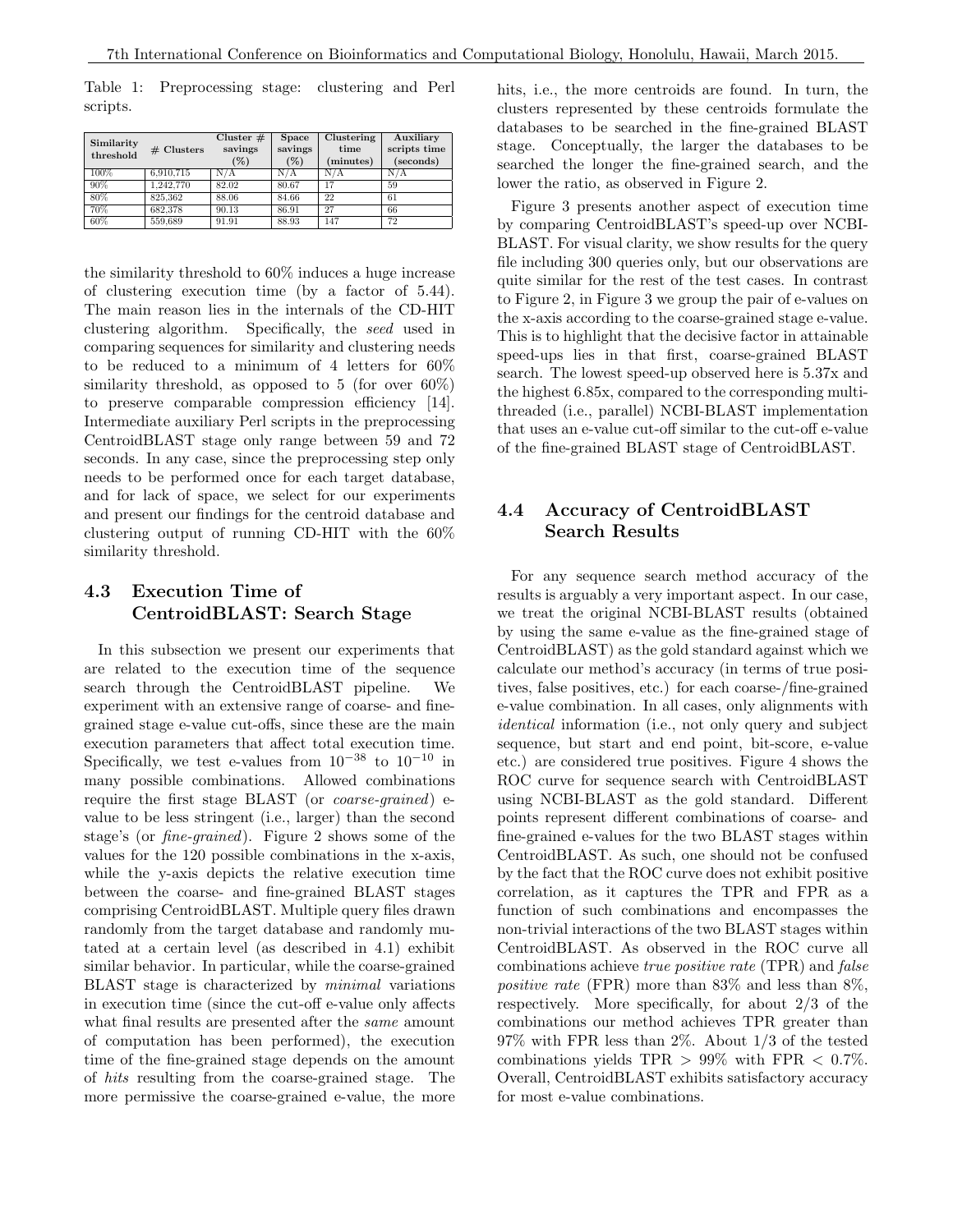Table 1: Preprocessing stage: clustering and Perl scripts.

| Similarity<br>threshold | # Clusters | Cluster $#$<br>savings<br>$(\%)$ | <b>Space</b><br>savings<br>$(\%)$ | Clustering<br>time<br>minutes) | Auxiliary<br>scripts time<br>(seconds) |
|-------------------------|------------|----------------------------------|-----------------------------------|--------------------------------|----------------------------------------|
| 100%                    | 6.910.715  | N/A                              | N/A                               | N/A                            | N/A                                    |
| 90%                     | 1.242.770  | 82.02                            | 80.67                             | 17                             | 59                                     |
| 80%                     | 825.362    | 88.06                            | 84.66                             | 22                             | 61                                     |
| 70%                     | 682.378    | 90.13                            | 86.91                             | 27                             | 66                                     |
| 60%                     | 559,689    | 91.91                            | 88.93                             | 147                            | 72                                     |

the similarity threshold to 60% induces a huge increase of clustering execution time (by a factor of 5.44). The main reason lies in the internals of the CD-HIT clustering algorithm. Specifically, the seed used in comparing sequences for similarity and clustering needs to be reduced to a minimum of 4 letters for 60% similarity threshold, as opposed to 5 (for over 60%) to preserve comparable compression efficiency [14]. Intermediate auxiliary Perl scripts in the preprocessing CentroidBLAST stage only range between 59 and 72 seconds. In any case, since the preprocessing step only needs to be performed once for each target database, and for lack of space, we select for our experiments and present our findings for the centroid database and clustering output of running CD-HIT with the 60% similarity threshold.

### 4.3 Execution Time of CentroidBLAST: Search Stage

In this subsection we present our experiments that are related to the execution time of the sequence search through the CentroidBLAST pipeline. We experiment with an extensive range of coarse- and finegrained stage e-value cut-offs, since these are the main execution parameters that affect total execution time. Specifically, we test e-values from  $10^{-38}$  to  $10^{-10}$  in many possible combinations. Allowed combinations require the first stage BLAST (or coarse-grained) evalue to be less stringent (i.e., larger) than the second stage's (or fine-grained). Figure 2 shows some of the values for the 120 possible combinations in the x-axis, while the y-axis depicts the relative execution time between the coarse- and fine-grained BLAST stages comprising CentroidBLAST. Multiple query files drawn randomly from the target database and randomly mutated at a certain level (as described in 4.1) exhibit similar behavior. In particular, while the coarse-grained BLAST stage is characterized by minimal variations in execution time (since the cut-off e-value only affects what final results are presented after the *same* amount of computation has been performed), the execution time of the fine-grained stage depends on the amount of hits resulting from the coarse-grained stage. The more permissive the coarse-grained e-value, the more hits, i.e., the more centroids are found. In turn, the clusters represented by these centroids formulate the databases to be searched in the fine-grained BLAST stage. Conceptually, the larger the databases to be searched the longer the fine-grained search, and the lower the ratio, as observed in Figure 2.

Figure 3 presents another aspect of execution time by comparing CentroidBLAST's speed-up over NCBI-BLAST. For visual clarity, we show results for the query file including 300 queries only, but our observations are quite similar for the rest of the test cases. In contrast to Figure 2, in Figure 3 we group the pair of e-values on the x-axis according to the coarse-grained stage e-value. This is to highlight that the decisive factor in attainable speed-ups lies in that first, coarse-grained BLAST search. The lowest speed-up observed here is 5.37x and the highest 6.85x, compared to the corresponding multithreaded (i.e., parallel) NCBI-BLAST implementation that uses an e-value cut-off similar to the cut-off e-value of the fine-grained BLAST stage of CentroidBLAST.

## 4.4 Accuracy of CentroidBLAST Search Results

For any sequence search method accuracy of the results is arguably a very important aspect. In our case, we treat the original NCBI-BLAST results (obtained by using the same e-value as the fine-grained stage of CentroidBLAST) as the gold standard against which we calculate our method's accuracy (in terms of true positives, false positives, etc.) for each coarse-/fine-grained e-value combination. In all cases, only alignments with identical information (i.e., not only query and subject sequence, but start and end point, bit-score, e-value etc.) are considered true positives. Figure 4 shows the ROC curve for sequence search with CentroidBLAST using NCBI-BLAST as the gold standard. Different points represent different combinations of coarse- and fine-grained e-values for the two BLAST stages within CentroidBLAST. As such, one should not be confused by the fact that the ROC curve does not exhibit positive correlation, as it captures the TPR and FPR as a function of such combinations and encompasses the non-trivial interactions of the two BLAST stages within CentroidBLAST. As observed in the ROC curve all combinations achieve true positive rate (TPR) and false positive rate (FPR) more than 83% and less than 8%, respectively. More specifically, for about 2/3 of the combinations our method achieves TPR greater than 97% with FPR less than 2%. About 1/3 of the tested combinations yields TPR  $> 99\%$  with FPR  $< 0.7\%$ . Overall, CentroidBLAST exhibits satisfactory accuracy for most e-value combinations.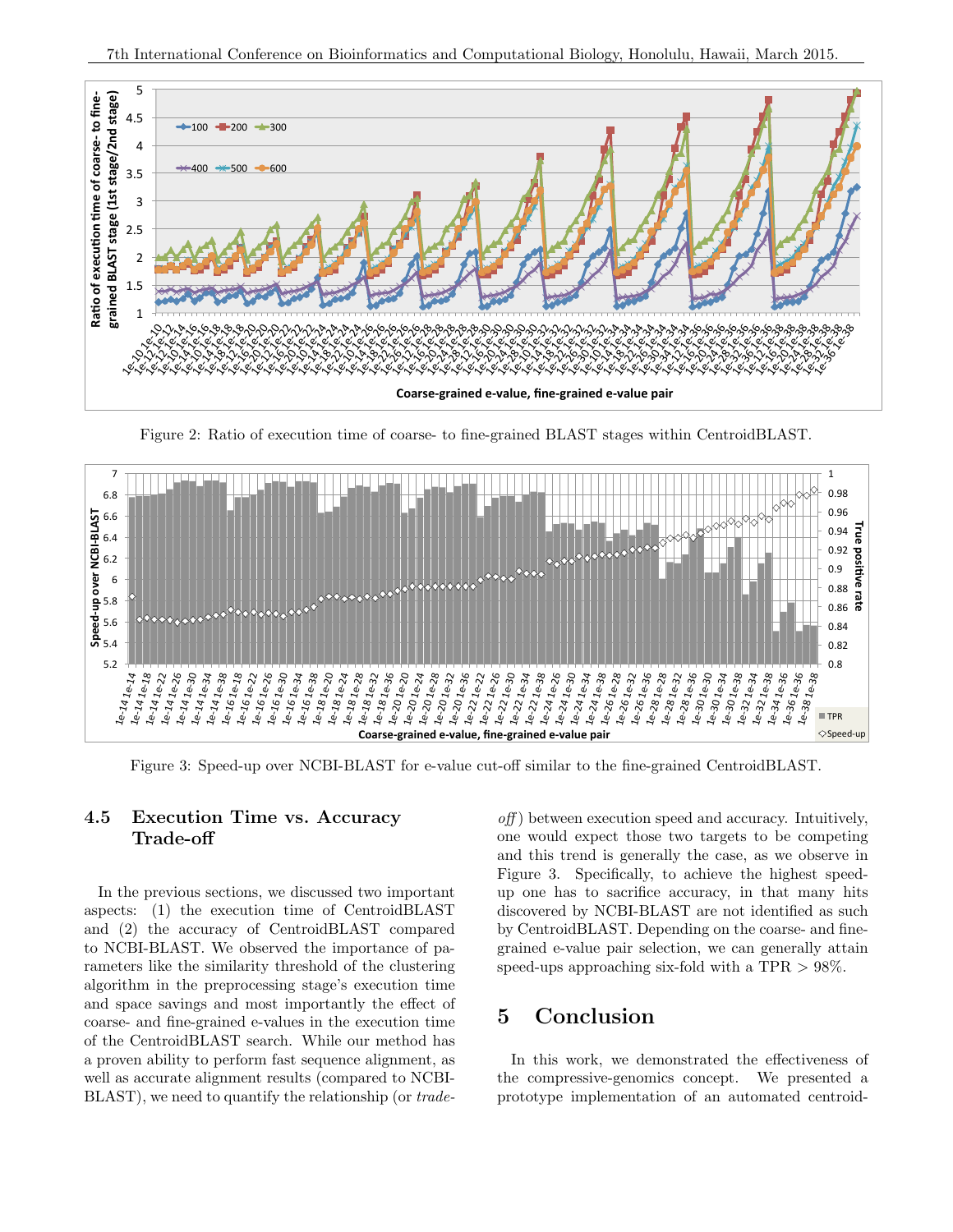

Figure 2: Ratio of execution time of coarse- to fine-grained BLAST stages within CentroidBLAST.



Figure 3: Speed-up over NCBI-BLAST for e-value cut-off similar to the fine-grained CentroidBLAST.

### 4.5 Execution Time vs. Accuracy Trade-off

In the previous sections, we discussed two important aspects: (1) the execution time of CentroidBLAST and (2) the accuracy of CentroidBLAST compared to NCBI-BLAST. We observed the importance of parameters like the similarity threshold of the clustering algorithm in the preprocessing stage's execution time and space savings and most importantly the effect of coarse- and fine-grained e-values in the execution time of the CentroidBLAST search. While our method has a proven ability to perform fast sequence alignment, as well as accurate alignment results (compared to NCBI-BLAST), we need to quantify the relationship (or trade-

 $off$ ) between execution speed and accuracy. Intuitively, one would expect those two targets to be competing and this trend is generally the case, as we observe in Figure 3. Specifically, to achieve the highest speedup one has to sacrifice accuracy, in that many hits discovered by NCBI-BLAST are not identified as such by CentroidBLAST. Depending on the coarse- and finegrained e-value pair selection, we can generally attain speed-ups approaching six-fold with a TPR  $> 98\%$ .

# 5 Conclusion

In this work, we demonstrated the effectiveness of the compressive-genomics concept. We presented a prototype implementation of an automated centroid-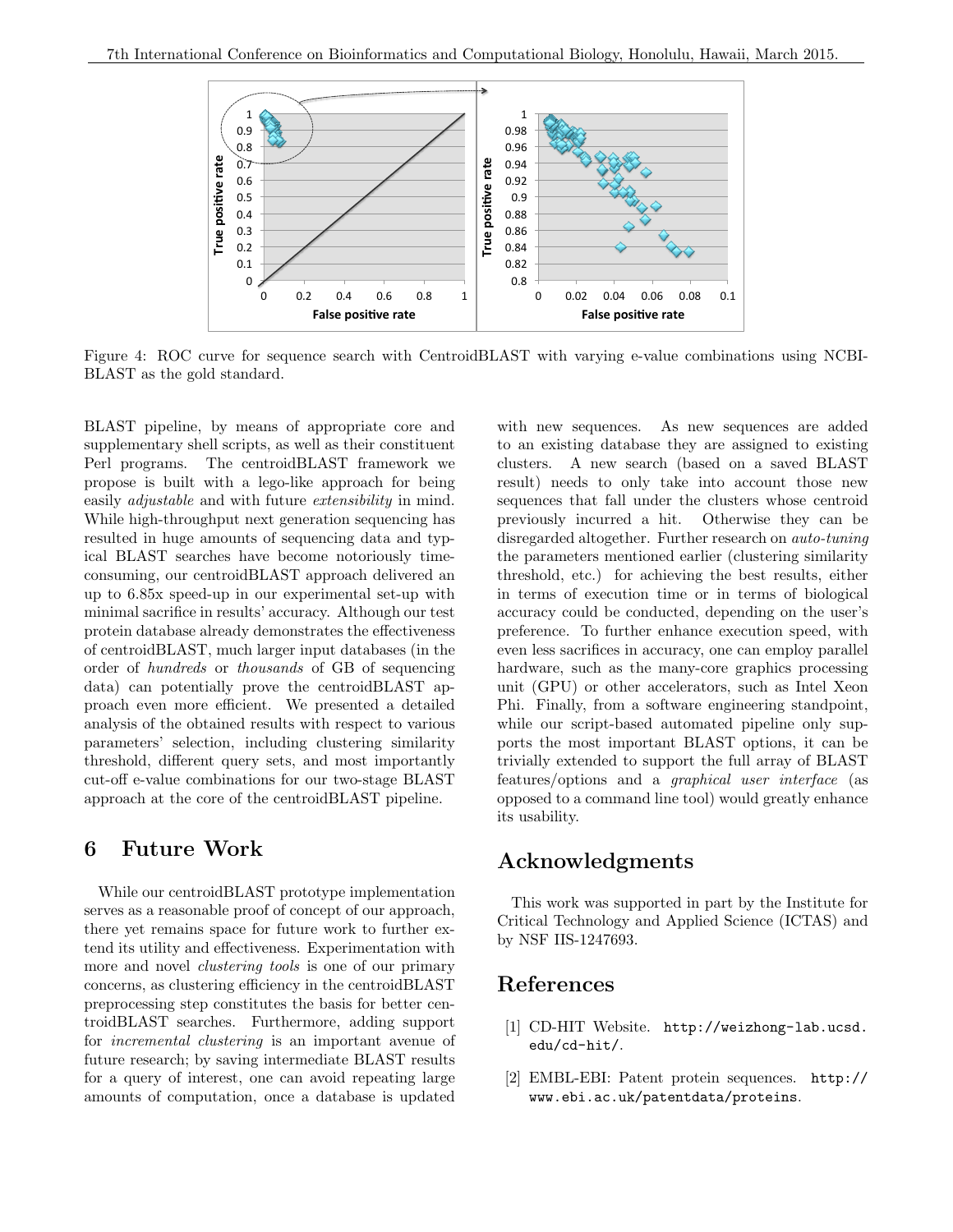

Figure 4: ROC curve for sequence search with CentroidBLAST with varying e-value combinations using NCBI-BLAST as the gold standard.

BLAST pipeline, by means of appropriate core and supplementary shell scripts, as well as their constituent Perl programs. The centroidBLAST framework we propose is built with a lego-like approach for being easily *adjustable* and with future *extensibility* in mind. While high-throughput next generation sequencing has resulted in huge amounts of sequencing data and typical BLAST searches have become notoriously timeconsuming, our centroidBLAST approach delivered an up to 6.85x speed-up in our experimental set-up with minimal sacrifice in results' accuracy. Although our test protein database already demonstrates the effectiveness of centroidBLAST, much larger input databases (in the order of hundreds or thousands of GB of sequencing data) can potentially prove the centroidBLAST approach even more efficient. We presented a detailed analysis of the obtained results with respect to various parameters' selection, including clustering similarity threshold, different query sets, and most importantly cut-off e-value combinations for our two-stage BLAST approach at the core of the centroidBLAST pipeline.

## 6 Future Work

While our centroidBLAST prototype implementation serves as a reasonable proof of concept of our approach, there yet remains space for future work to further extend its utility and effectiveness. Experimentation with more and novel *clustering tools* is one of our primary concerns, as clustering efficiency in the centroidBLAST preprocessing step constitutes the basis for better centroidBLAST searches. Furthermore, adding support for incremental clustering is an important avenue of future research; by saving intermediate BLAST results for a query of interest, one can avoid repeating large amounts of computation, once a database is updated

with new sequences. As new sequences are added to an existing database they are assigned to existing clusters. A new search (based on a saved BLAST result) needs to only take into account those new sequences that fall under the clusters whose centroid previously incurred a hit. Otherwise they can be disregarded altogether. Further research on auto-tuning the parameters mentioned earlier (clustering similarity threshold, etc.) for achieving the best results, either in terms of execution time or in terms of biological accuracy could be conducted, depending on the user's preference. To further enhance execution speed, with even less sacrifices in accuracy, one can employ parallel hardware, such as the many-core graphics processing unit (GPU) or other accelerators, such as Intel Xeon Phi. Finally, from a software engineering standpoint, while our script-based automated pipeline only supports the most important BLAST options, it can be trivially extended to support the full array of BLAST features/options and a graphical user interface (as opposed to a command line tool) would greatly enhance its usability.

# Acknowledgments

This work was supported in part by the Institute for Critical Technology and Applied Science (ICTAS) and by NSF IIS-1247693.

## References

- [1] CD-HIT Website. http://weizhong-lab.ucsd. edu/cd-hit/.
- [2] EMBL-EBI: Patent protein sequences. http:// www.ebi.ac.uk/patentdata/proteins.